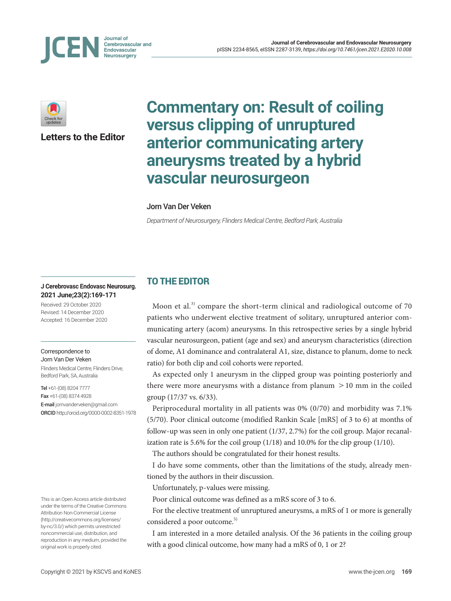



**Letters to the Editor**

# **Commentary on: Result of coiling versus clipping of unruptured anterior communicating artery aneurysms treated by a hybrid vascular neurosurgeon**

#### Jorn Van Der Veken

*Department of Neurosurgery, Flinders Medical Centre, Bedford Park, Australia*

#### **J Cerebrovasc Endovasc Neurosurg. 2021 June;23(2):169-171**

Received: 29 October 2020 Revised: 14 December 2020 Accepted: 16 December 2020

#### Correspondence to

Jorn Van Der Veken Flinders Medical Centre, Flinders Drive, Bedford Park, SA, Australia

Tel +61-(08) 8204 7777 Fax +61-(08) 8374 4928 E-mail jornvanderveken@gmail.com ORCID http://orcid.org/0000-0002-8351-1978

This is an Open Access article distributed under the terms of the Creative Commons Attribution Non-Commercial License (http://creativecommons.org/licenses/ by-nc/3.0/) which permits unrestricted noncommercial use, distribution, and reproduction in any medium, provided the original work is properly cited.

## TO THE EDITOR

Moon et al.<sup>3)</sup> compare the short-term clinical and radiological outcome of 70 patients who underwent elective treatment of solitary, unruptured anterior communicating artery (acom) aneurysms. In this retrospective series by a single hybrid vascular neurosurgeon, patient (age and sex) and aneurysm characteristics (direction of dome, A1 dominance and contralateral A1, size, distance to planum, dome to neck ratio) for both clip and coil cohorts were reported.

As expected only 1 aneurysm in the clipped group was pointing posteriorly and there were more aneurysms with a distance from planum  $>10$  mm in the coiled group (17/37 vs. 6/33).

Periprocedural mortality in all patients was 0% (0/70) and morbidity was 7.1% (5/70). Poor clinical outcome (modified Rankin Scale [mRS] of 3 to 6) at months of follow-up was seen in only one patient (1/37, 2.7%) for the coil group. Major recanalization rate is 5.6% for the coil group (1/18) and 10.0% for the clip group (1/10).

The authors should be congratulated for their honest results.

I do have some comments, other than the limitations of the study, already mentioned by the authors in their discussion.

Unfortunately, p-values were missing.

Poor clinical outcome was defined as a mRS score of 3 to 6.

For the elective treatment of unruptured aneurysms, a mRS of 1 or more is generally considered a poor outcome.<sup>5)</sup>

I am interested in a more detailed analysis. Of the 36 patients in the coiling group with a good clinical outcome, how many had a mRS of 0, 1 or 2?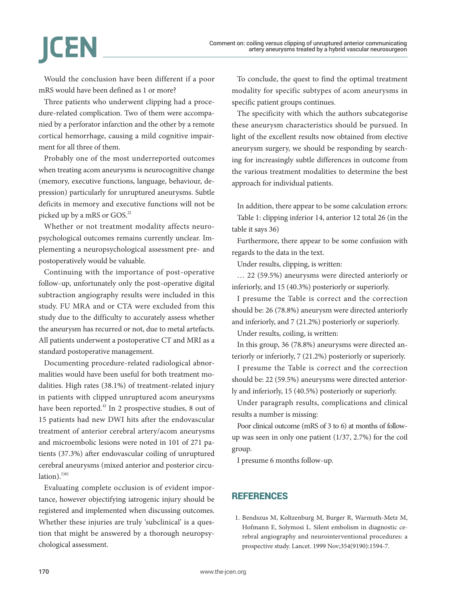# **ICEN**

Would the conclusion have been different if a poor mRS would have been defined as 1 or more?

Three patients who underwent clipping had a procedure-related complication. Two of them were accompanied by a perforator infarction and the other by a remote cortical hemorrhage, causing a mild cognitive impairment for all three of them.

Probably one of the most underreported outcomes when treating acom aneurysms is neurocognitive change (memory, executive functions, language, behaviour, depression) particularly for unruptured aneurysms. Subtle deficits in memory and executive functions will not be picked up by a mRS or GOS.<sup>2)</sup>

Whether or not treatment modality affects neuropsychological outcomes remains currently unclear. Implementing a neuropsychological assessment pre- and postoperatively would be valuable.

Continuing with the importance of post-operative follow-up, unfortunately only the post-operative digital subtraction angiography results were included in this study. FU MRA and or CTA were excluded from this study due to the difficulty to accurately assess whether the aneurysm has recurred or not, due to metal artefacts. All patients underwent a postoperative CT and MRI as a standard postoperative management.

Documenting procedure-related radiological abnormalities would have been useful for both treatment modalities. High rates (38.1%) of treatment-related injury in patients with clipped unruptured acom aneurysms have been reported. $4$ <sup>t</sup>) In 2 prospective studies, 8 out of 15 patients had new DWI hits after the endovascular treatment of anterior cerebral artery/acom aneurysms and microembolic lesions were noted in 101 of 271 patients (37.3%) after endovascular coiling of unruptured cerebral aneurysms (mixed anterior and posterior circulation). $1)$ <sup>1)6)</sup>

Evaluating complete occlusion is of evident importance, however objectifying iatrogenic injury should be registered and implemented when discussing outcomes. Whether these injuries are truly 'subclinical' is a question that might be answered by a thorough neuropsychological assessment.

To conclude, the quest to find the optimal treatment modality for specific subtypes of acom aneurysms in specific patient groups continues.

The specificity with which the authors subcategorise these aneurysm characteristics should be pursued. In light of the excellent results now obtained from elective aneurysm surgery, we should be responding by searching for increasingly subtle differences in outcome from the various treatment modalities to determine the best approach for individual patients.

In addition, there appear to be some calculation errors: Table 1: clipping inferior 14, anterior 12 total 26 (in the table it says 36)

Furthermore, there appear to be some confusion with regards to the data in the text.

Under results, clipping, is written:

… 22 (59.5%) aneurysms were directed anteriorly or inferiorly, and 15 (40.3%) posteriorly or superiorly.

I presume the Table is correct and the correction should be: 26 (78.8%) aneurysm were directed anteriorly and inferiorly, and 7 (21.2%) posteriorly or superiorly.

Under results, coiling, is written:

In this group, 36 (78.8%) aneurysms were directed anteriorly or inferiorly, 7 (21.2%) posteriorly or superiorly.

I presume the Table is correct and the correction should be: 22 (59.5%) aneurysms were directed anteriorly and inferiorly, 15 (40.5%) posteriorly or superiorly.

Under paragraph results, complications and clinical results a number is missing:

Poor clinical outcome (mRS of 3 to 6) at months of followup was seen in only one patient (1/37, 2.7%) for the coil group.

I presume 6 months follow-up.

### REFERENCES

1. Bendszus M, Koltzenburg M, Burger R, Warmuth-Metz M, Hofmann E, Solymosi L. Silent embolism in diagnostic cerebral angiography and neurointerventional procedures: a prospective study. Lancet. 1999 Nov;354(9190):1594-7.